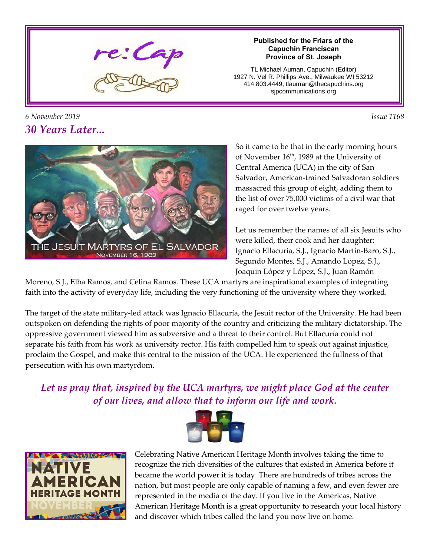

#### **Published for the Friars of the Capuchin Franciscan Province of St. Joseph**

TL Michael Auman, Capuchin (Editor) 1927 N. Vel R. Phillips Ave., Milwaukee WI 53212 414.803.4449; tlauman@thecapuchins.org sjpcommunications.org





So it came to be that in the early morning hours of November 16<sup>th</sup>, 1989 at the University of Central America (UCA) in the city of San Salvador, American-trained Salvadoran soldiers massacred this group of eight, adding them to the list of over 75,000 victims of a civil war that raged for over twelve years.

Let us remember the names of all six Jesuits who were killed, their cook and her daughter: Ignacio Ellacuría, S.J., Ignacio Martín-Baro, S.J., Segundo Montes, S.J., Amando López, S.J., Joaquin López y López, S.J., Juan Ramón

Moreno, S.J., Elba Ramos, and Celina Ramos. These UCA martyrs are inspirational examples of integrating faith into the activity of everyday life, including the very functioning of the university where they worked.

The target of the state military-led attack was Ignacio Ellacuría, the Jesuit rector of the University. He had been outspoken on defending the rights of poor majority of the country and criticizing the military dictatorship. The oppressive government viewed him as subversive and a threat to their control. But Ellacuría could not separate his faith from his work as university rector. His faith compelled him to speak out against injustice, proclaim the Gospel, and make this central to the mission of the UCA. He experienced the fullness of that persecution with his own martyrdom.

*Let us pray that, inspired by the UCA martyrs, we might place God at the center of our lives, and allow that to inform our life and work.*





Celebrating Native American Heritage Month involves taking the time to recognize the rich diversities of the cultures that existed in America before it became the world power it is today. There are hundreds of tribes across the nation, but most people are only capable of naming a few, and even fewer are represented in the media of the day. If you live in the Americas, Native American Heritage Month is a great opportunity to research your local history and discover which tribes called the land you now live on home.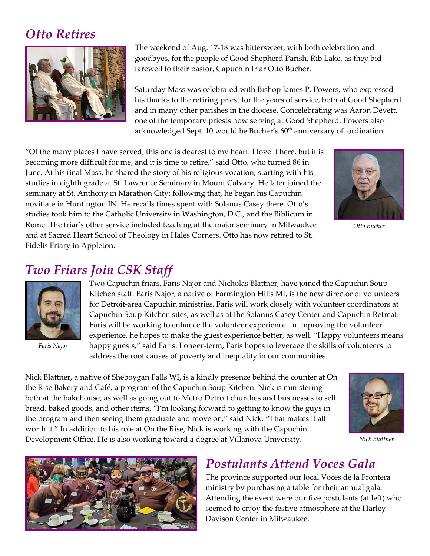## *Otto Retires*



The weekend of Aug. 17-18 was bittersweet, with both celebration and goodbyes, for the people of Good Shepherd Parish, Rib Lake, as they bid farewell to their pastor, Capuchin friar Otto Bucher.

Saturday Mass was celebrated with Bishop James P. Powers, who expressed his thanks to the retiring priest for the years of service, both at Good Shepherd and in many other parishes in the diocese. Concelebrating was Aaron Devett, one of the temporary priests now serving at Good Shepherd. Powers also acknowledged Sept. 10 would be Bucher's 60<sup>th</sup> anniversary of ordination.

"Of the many places I have served, this one is dearest to my heart. I love it here, but it is becoming more difficult for me, and it is time to retire," said Otto, who turned 86 in June. At his final Mass, he shared the story of his religious vocation, starting with his studies in eighth grade at St. Lawrence Seminary in Mount Calvary. He later joined the seminary at St. Anthony in Marathon City; following that, he began his Capuchin novitiate in Huntington IN. He recalls times spent with Solanus Casey there. Otto's studies took him to the Catholic University in Washington, D.C., and the Biblicum in Rome. The friar's other service included teaching at the major seminary in Milwaukee and at Sacred Heart School of Theology in Hales Corners. Otto has now retired to St. Fidelis Friary in Appleton.



*Otto Bucher*

## *Two Friars Join CSK Staff*



*Faris Najor*

Two Capuchin friars, Faris Najor and Nicholas Blattner, have joined the Capuchin Soup Kitchen staff. Faris Najor, a native of Farmington Hills MI, is the new director of volunteers for Detroit-area Capuchin ministries. Faris will work closely with volunteer coordinators at Capuchin Soup Kitchen sites, as well as at the Solanus Casey Center and Capuchin Retreat. Faris will be working to enhance the volunteer experience. In improving the volunteer experience, he hopes to make the guest experience better, as well. "Happy volunteers means happy guests," said Faris. Longer-term, Faris hopes to leverage the skills of volunteers to address the root causes of poverty and inequality in our communities.

Nick Blattner, a native of Sheboygan Falls WI, is a kindly presence behind the counter at On the Rise Bakery and Café, a program of the Capuchin Soup Kitchen. Nick is ministering both at the bakehouse, as well as going out to Metro Detroit churches and businesses to sell bread, baked goods, and other items. "I'm looking forward to getting to know the guys in the program and then seeing them graduate and move on," said Nick. "That makes it all worth it." In addition to his role at On the Rise, Nick is working with the Capuchin Development Office. He is also working toward a degree at Villanova University.



*Nick Blattner*



## *Postulants Attend Voces Gala*

The province supported our local Voces de la Frontera ministry by purchasing a table for their annual gala. Attending the event were our five postulants (at left) who seemed to enjoy the festive atmosphere at the Harley Davison Center in Milwaukee.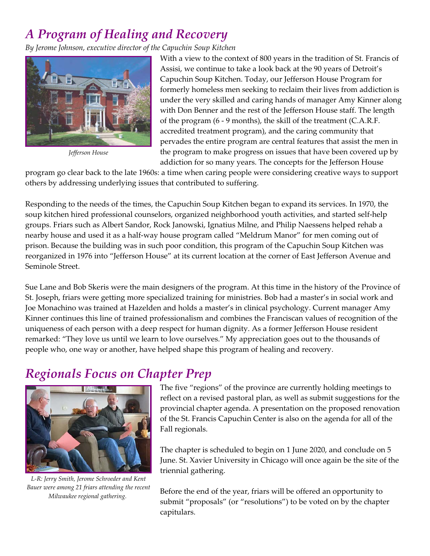# *A Program of Healing and Recovery*

*By Jerome Johnson, executive director of the Capuchin Soup Kitchen*



*Jefferson House*

With a view to the context of 800 years in the tradition of St. Francis of Assisi, we continue to take a look back at the 90 years of Detroit's Capuchin Soup Kitchen. Today, our Jefferson House Program for formerly homeless men seeking to reclaim their lives from addiction is under the very skilled and caring hands of manager Amy Kinner along with Don Benner and the rest of the Jefferson House staff. The length of the program (6 - 9 months), the skill of the treatment (C.A.R.F. accredited treatment program), and the caring community that pervades the entire program are central features that assist the men in the program to make progress on issues that have been covered up by addiction for so many years. The concepts for the Jefferson House

program go clear back to the late 1960s: a time when caring people were considering creative ways to support others by addressing underlying issues that contributed to suffering.

Responding to the needs of the times, the Capuchin Soup Kitchen began to expand its services. In 1970, the soup kitchen hired professional counselors, organized neighborhood youth activities, and started self-help groups. Friars such as Albert Sandor, Rock Janowski, Ignatius Milne, and Philip Naessens helped rehab a nearby house and used it as a half-way house program called "Meldrum Manor" for men coming out of prison. Because the building was in such poor condition, this program of the Capuchin Soup Kitchen was reorganized in 1976 into "Jefferson House" at its current location at the corner of East Jefferson Avenue and Seminole Street.

Sue Lane and Bob Skeris were the main designers of the program. At this time in the history of the Province of St. Joseph, friars were getting more specialized training for ministries. Bob had a master's in social work and Joe Monachino was trained at Hazelden and holds a master's in clinical psychology. Current manager Amy Kinner continues this line of trained professionalism and combines the Franciscan values of recognition of the uniqueness of each person with a deep respect for human dignity. As a former Jefferson House resident remarked: "They love us until we learn to love ourselves." My appreciation goes out to the thousands of people who, one way or another, have helped shape this program of healing and recovery.

## *Regionals Focus on Chapter Prep*



*L-R: Jerry Smith, Jerome Schroeder and Kent Bauer were among 21 friars attending the recent Milwaukee regional gathering.* 

The five "regions" of the province are currently holding meetings to reflect on a revised pastoral plan, as well as submit suggestions for the provincial chapter agenda. A presentation on the proposed renovation of the St. Francis Capuchin Center is also on the agenda for all of the Fall regionals.

The chapter is scheduled to begin on 1 June 2020, and conclude on 5 June. St. Xavier University in Chicago will once again be the site of the triennial gathering.

Before the end of the year, friars will be offered an opportunity to submit "proposals" (or "resolutions") to be voted on by the chapter capitulars.